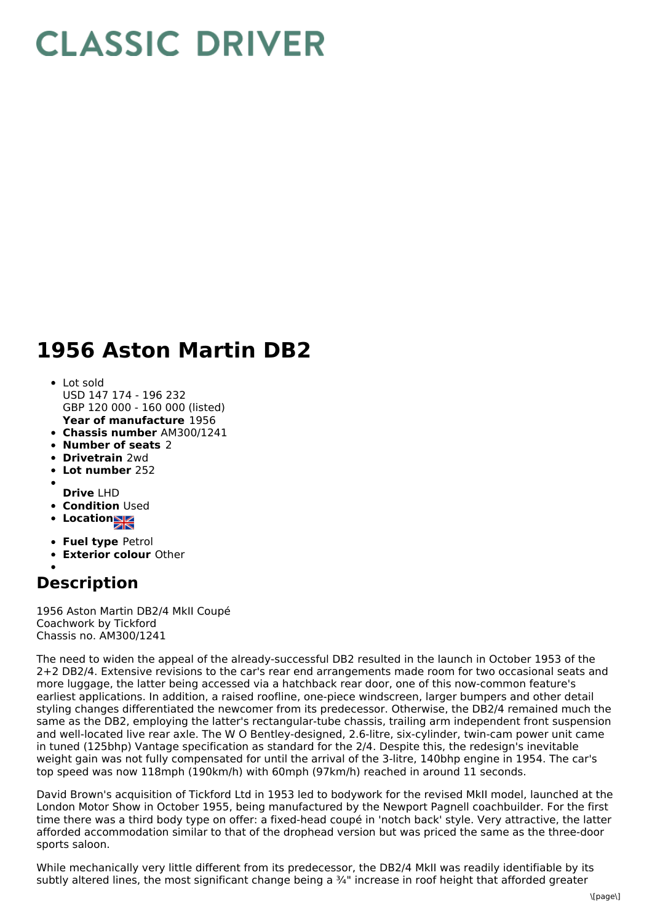## **CLASSIC DRIVER**

## **1956 Aston Martin DB2**

- **Year of manufacture** 1956 Lot sold USD 147 174 - 196 232 GBP 120 000 - 160 000 (listed)
- **Chassis number** AM300/1241
- **Number of seats** 2
- **Drivetrain** 2wd
- **Lot number** 252
- 
- **Drive** LHD
- **Condition Used**
- **Locations**
- **Fuel type** Petrol
- **Exterior colour** Other
- 

## **Description**

1956 Aston Martin DB2/4 MkII Coupé Coachwork by Tickford Chassis no. AM300/1241

The need to widen the appeal of the already-successful DB2 resulted in the launch in October 1953 of the 2+2 DB2/4. Extensive revisions to the car's rear end arrangements made room for two occasional seats and more luggage, the latter being accessed via a hatchback rear door, one of this now-common feature's earliest applications. In addition, a raised roofline, one-piece windscreen, larger bumpers and other detail styling changes differentiated the newcomer from its predecessor. Otherwise, the DB2/4 remained much the same as the DB2, employing the latter's rectangular-tube chassis, trailing arm independent front suspension and well-located live rear axle. The W O Bentley-designed, 2.6-litre, six-cylinder, twin-cam power unit came in tuned (125bhp) Vantage specification as standard for the 2/4. Despite this, the redesign's inevitable weight gain was not fully compensated for until the arrival of the 3-litre, 140bhp engine in 1954. The car's top speed was now 118mph (190km/h) with 60mph (97km/h) reached in around 11 seconds.

David Brown's acquisition of Tickford Ltd in 1953 led to bodywork for the revised MkII model, launched at the London Motor Show in October 1955, being manufactured by the Newport Pagnell coachbuilder. For the first time there was a third body type on offer: a fixed-head coupé in 'notch back' style. Very attractive, the latter afforded accommodation similar to that of the drophead version but was priced the same as the three-door sports saloon.

While mechanically very little different from its predecessor, the DB2/4 MkII was readily identifiable by its subtly altered lines, the most significant change being a 3/4" increase in roof height that afforded greater